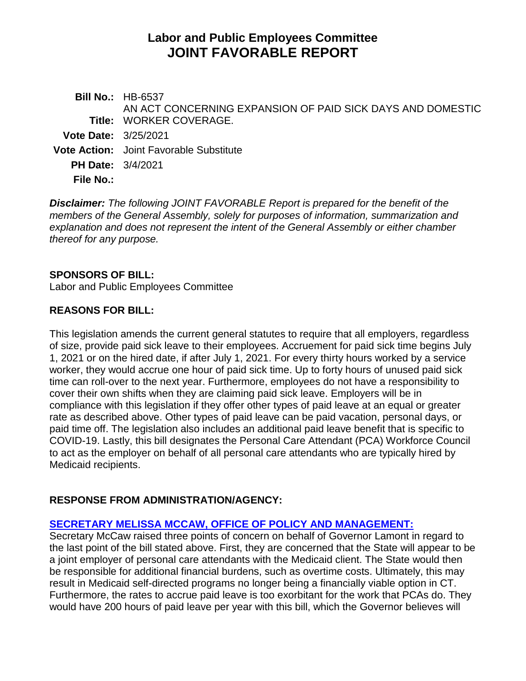# **Labor and Public Employees Committee JOINT FAVORABLE REPORT**

**Bill No.:** HB-6537 **Title:** WORKER COVERAGE. AN ACT CONCERNING EXPANSION OF PAID SICK DAYS AND DOMESTIC **Vote Date:** 3/25/2021 **Vote Action:** Joint Favorable Substitute **PH Date:** 3/4/2021 **File No.:**

*Disclaimer: The following JOINT FAVORABLE Report is prepared for the benefit of the members of the General Assembly, solely for purposes of information, summarization and explanation and does not represent the intent of the General Assembly or either chamber thereof for any purpose.*

## **SPONSORS OF BILL:**

Labor and Public Employees Committee

## **REASONS FOR BILL:**

This legislation amends the current general statutes to require that all employers, regardless of size, provide paid sick leave to their employees. Accruement for paid sick time begins July 1, 2021 or on the hired date, if after July 1, 2021. For every thirty hours worked by a service worker, they would accrue one hour of paid sick time. Up to forty hours of unused paid sick time can roll-over to the next year. Furthermore, employees do not have a responsibility to cover their own shifts when they are claiming paid sick leave. Employers will be in compliance with this legislation if they offer other types of paid leave at an equal or greater rate as described above. Other types of paid leave can be paid vacation, personal days, or paid time off. The legislation also includes an additional paid leave benefit that is specific to COVID-19. Lastly, this bill designates the Personal Care Attendant (PCA) Workforce Council to act as the employer on behalf of all personal care attendants who are typically hired by Medicaid recipients.

## **RESPONSE FROM ADMINISTRATION/AGENCY:**

#### **[SECRETARY MELISSA](https://www.cga.ct.gov/2021/LABdata/Tmy/2021HB-06537-R000304-McCaw,%20Melissa,%20Secretary-Office%20of%20Policy%20and%20Management-TMY.PDF) MCCAW, OFFICE OF POLICY AND MANAGEMENT:**

Secretary McCaw raised three points of concern on behalf of Governor Lamont in regard to the last point of the bill stated above. First, they are concerned that the State will appear to be a joint employer of personal care attendants with the Medicaid client. The State would then be responsible for additional financial burdens, such as overtime costs. Ultimately, this may result in Medicaid self-directed programs no longer being a financially viable option in CT. Furthermore, the rates to accrue paid leave is too exorbitant for the work that PCAs do. They would have 200 hours of paid leave per year with this bill, which the Governor believes will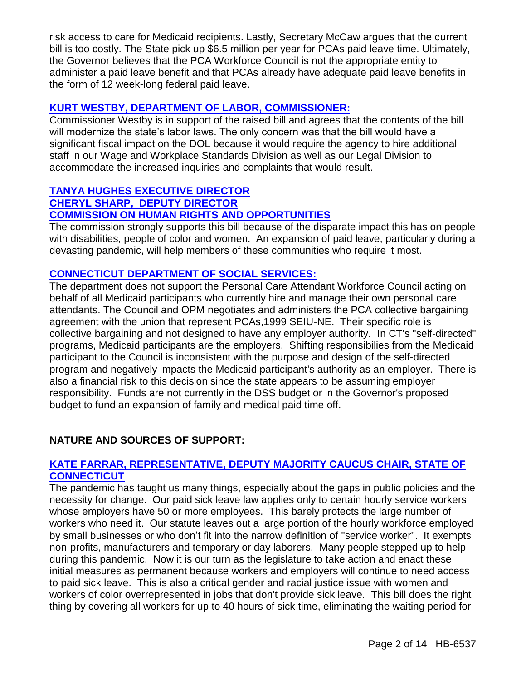risk access to care for Medicaid recipients. Lastly, Secretary McCaw argues that the current bill is too costly. The State pick up \$6.5 million per year for PCAs paid leave time. Ultimately, the Governor believes that the PCA Workforce Council is not the appropriate entity to administer a paid leave benefit and that PCAs already have adequate paid leave benefits in the form of 12 week-long federal paid leave.

## **[KURT WESTBY, DEPARTMENT OF LABOR, COMMISSIONER:](https://www.cga.ct.gov/2021/LABdata/Tmy/2021HB-06537-R000304-Westby,%20Kurt,%20Commissioner-Department%20of%20Labor-TMY.PDF)**

Commissioner Westby is in support of the raised bill and agrees that the contents of the bill will modernize the state's labor laws. The only concern was that the bill would have a significant fiscal impact on the DOL because it would require the agency to hire additional staff in our Wage and Workplace Standards Division as well as our Legal Division to accommodate the increased inquiries and complaints that would result.

#### **[TANYA HUGHES EXECUTIVE DIRECTOR](https://cga.ct.gov/2021/labdata/tmy/2021HB-06537-R000304-Hughes,%20Tanya,%20Executive%20Director-CHRO-TMY.PDF) [CHERYL SHARP, DEPUTY DIRECTOR](https://cga.ct.gov/2021/labdata/tmy/2021HB-06537-R000304-Hughes,%20Tanya,%20Executive%20Director-CHRO-TMY.PDF) [COMMISSION ON HUMAN RIGHTS AND OPPORTUNITIES](https://cga.ct.gov/2021/labdata/tmy/2021HB-06537-R000304-Hughes,%20Tanya,%20Executive%20Director-CHRO-TMY.PDF)**

The commission strongly supports this bill because of the disparate impact this has on people with disabilities, people of color and women. An expansion of paid leave, particularly during a devasting pandemic, will help members of these communities who require it most.

#### **[CONNECTICUT DEPARTMENT OF SOCIAL SERVICES:](https://www.cga.ct.gov/2021/LABdata/Tmy/2021HB-06537-R000304-CT%20Department%20of%20Social%20Services-TMY.PDF)**

The department does not support the Personal Care Attendant Workforce Council acting on behalf of all Medicaid participants who currently hire and manage their own personal care attendants. The Council and OPM negotiates and administers the PCA collective bargaining agreement with the union that represent PCAs,1999 SEIU-NE. Their specific role is collective bargaining and not designed to have any employer authority. In CT's "self-directed" programs, Medicaid participants are the employers. Shifting responsibilies from the Medicaid participant to the Council is inconsistent with the purpose and design of the self-directed program and negatively impacts the Medicaid participant's authority as an employer. There is also a financial risk to this decision since the state appears to be assuming employer responsibility. Funds are not currently in the DSS budget or in the Governor's proposed budget to fund an expansion of family and medical paid time off.

## **NATURE AND SOURCES OF SUPPORT:**

#### **[KATE FARRAR, REPRESENTATIVE, DEPUTY MAJORITY CAUCUS CHAIR, STATE OF](https://www.cga.ct.gov/2021/LABdata/Tmy/2021HB-06537-R000304-Farrar,%20Kate,%20Representative-Connecticut%20General%20Assembly-TMY.PDF)  [CONNECTICUT](https://www.cga.ct.gov/2021/LABdata/Tmy/2021HB-06537-R000304-Farrar,%20Kate,%20Representative-Connecticut%20General%20Assembly-TMY.PDF)**

The pandemic has taught us many things, especially about the gaps in public policies and the necessity for change. Our paid sick leave law applies only to certain hourly service workers whose employers have 50 or more employees. This barely protects the large number of workers who need it. Our statute leaves out a large portion of the hourly workforce employed by small businesses or who don't fit into the narrow definition of "service worker". It exempts non-profits, manufacturers and temporary or day laborers. Many people stepped up to help during this pandemic. Now it is our turn as the legislature to take action and enact these initial measures as permanent because workers and employers will continue to need access to paid sick leave. This is also a critical gender and racial justice issue with women and workers of color overrepresented in jobs that don't provide sick leave. This bill does the right thing by covering all workers for up to 40 hours of sick time, eliminating the waiting period for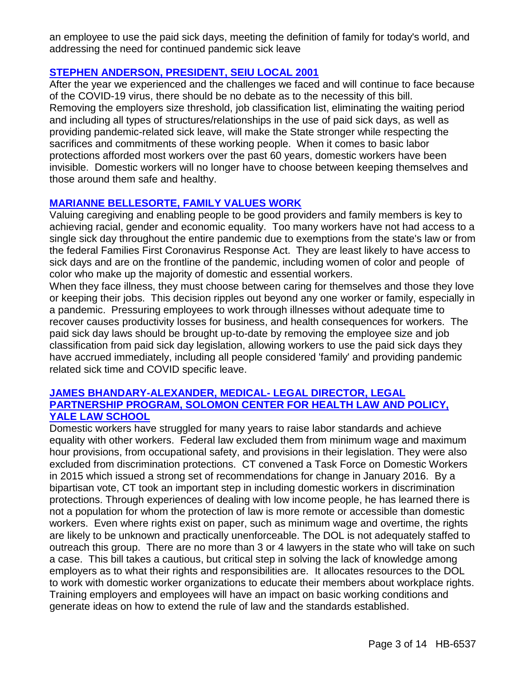an employee to use the paid sick days, meeting the definition of family for today's world, and addressing the need for continued pandemic sick leave

## **[STEPHEN ANDERSON, PRESIDENT, SEIU LOCAL 2001](https://www.cga.ct.gov/2021/LABdata/Tmy/2021HB-06537-R000304-Anderson,%20Stephen,%20President-CSEA%20SEIU%20Local%202001-TMY.PDF)**

After the year we experienced and the challenges we faced and will continue to face because of the COVID-19 virus, there should be no debate as to the necessity of this bill. Removing the employers size threshold, job classification list, eliminating the waiting period and including all types of structures/relationships in the use of paid sick days, as well as providing pandemic-related sick leave, will make the State stronger while respecting the sacrifices and commitments of these working people. When it comes to basic labor protections afforded most workers over the past 60 years, domestic workers have been invisible. Domestic workers will no longer have to choose between keeping themselves and those around them safe and healthy.

## **[MARIANNE BELLESORTE, FAMILY VALUES WORK](https://cga.ct.gov/2021/labdata/tmy/2021HB-06537-R000304-Bellesorte,%20Marianne,%20National%20Implementation%20Dir.-Family%20Values%20-%20Work-TMY.PDF)**

Valuing caregiving and enabling people to be good providers and family members is key to achieving racial, gender and economic equality. Too many workers have not had access to a single sick day throughout the entire pandemic due to exemptions from the state's law or from the federal Families First Coronavirus Response Act. They are least likely to have access to sick days and are on the frontline of the pandemic, including women of color and people of color who make up the majority of domestic and essential workers.

When they face illness, they must choose between caring for themselves and those they love or keeping their jobs. This decision ripples out beyond any one worker or family, especially in a pandemic. Pressuring employees to work through illnesses without adequate time to recover causes productivity losses for business, and health consequences for workers. The paid sick day laws should be brought up-to-date by removing the employee size and job classification from paid sick day legislation, allowing workers to use the paid sick days they have accrued immediately, including all people considered 'family' and providing pandemic related sick time and COVID specific leave.

#### **[JAMES BHANDARY-ALEXANDER,](https://cga.ct.gov/2021/labdata/tmy/2021HB-06537-R000304-Bhandary-Alexander,%20James,%20Legal%20Director-Solomon%20Center%20for%20Health%20Law%20-%20Policy-TMY.PDF) MEDICAL- LEGAL DIRECTOR, LEGAL [PARTNERSHIP PROGRAM, SOLOMON CENTER FOR HEALTH LAW AND POLICY,](https://cga.ct.gov/2021/labdata/tmy/2021HB-06537-R000304-Bhandary-Alexander,%20James,%20Legal%20Director-Solomon%20Center%20for%20Health%20Law%20-%20Policy-TMY.PDF)  [YALE LAW SCHOOL](https://cga.ct.gov/2021/labdata/tmy/2021HB-06537-R000304-Bhandary-Alexander,%20James,%20Legal%20Director-Solomon%20Center%20for%20Health%20Law%20-%20Policy-TMY.PDF)**

Domestic workers have struggled for many years to raise labor standards and achieve equality with other workers. Federal law excluded them from minimum wage and maximum hour provisions, from occupational safety, and provisions in their legislation. They were also excluded from discrimination protections. CT convened a Task Force on Domestic Workers in 2015 which issued a strong set of recommendations for change in January 2016. By a bipartisan vote, CT took an important step in including domestic workers in discrimination protections. Through experiences of dealing with low income people, he has learned there is not a population for whom the protection of law is more remote or accessible than domestic workers. Even where rights exist on paper, such as minimum wage and overtime, the rights are likely to be unknown and practically unenforceable. The DOL is not adequately staffed to outreach this group. There are no more than 3 or 4 lawyers in the state who will take on such a case. This bill takes a cautious, but critical step in solving the lack of knowledge among employers as to what their rights and responsibilities are. It allocates resources to the DOL to work with domestic worker organizations to educate their members about workplace rights. Training employers and employees will have an impact on basic working conditions and generate ideas on how to extend the rule of law and the standards established.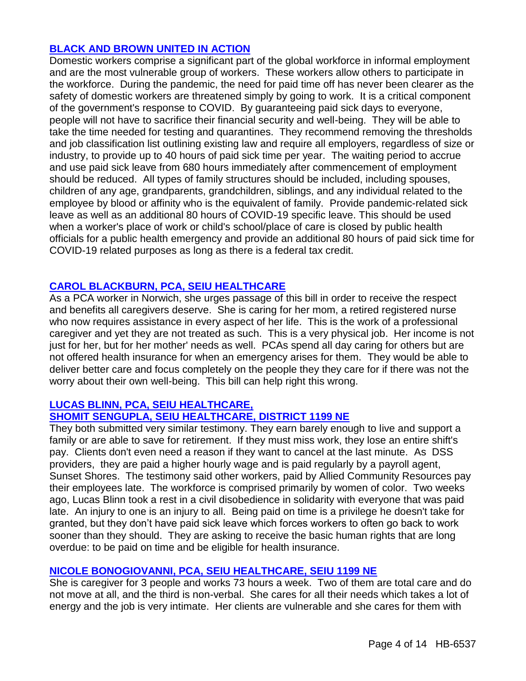## **[BLACK AND BROWN UNITED](https://www.cga.ct.gov/2021/LABdata/Tmy/2021HB-06537-R000304-Black%20and%20Brown%20United%20in%20Action-TMY.PDF) IN ACTION**

Domestic workers comprise a significant part of the global workforce in informal employment and are the most vulnerable group of workers. These workers allow others to participate in the workforce. During the pandemic, the need for paid time off has never been clearer as the safety of domestic workers are threatened simply by going to work. It is a critical component of the government's response to COVID. By guaranteeing paid sick days to everyone, people will not have to sacrifice their financial security and well-being. They will be able to take the time needed for testing and quarantines. They recommend removing the thresholds and job classification list outlining existing law and require all employers, regardless of size or industry, to provide up to 40 hours of paid sick time per year. The waiting period to accrue and use paid sick leave from 680 hours immediately after commencement of employment should be reduced. All types of family structures should be included, including spouses, children of any age, grandparents, grandchildren, siblings, and any individual related to the employee by blood or affinity who is the equivalent of family. Provide pandemic-related sick leave as well as an additional 80 hours of COVID-19 specific leave. This should be used when a worker's place of work or child's school/place of care is closed by public health officials for a public health emergency and provide an additional 80 hours of paid sick time for COVID-19 related purposes as long as there is a federal tax credit.

## **[CAROL BLACKBURN, PCA, SEIU HEALTHCARE](https://cga.ct.gov/2021/labdata/tmy/2021HB-06537-R000304-Blackburn,%20Carol,%20PCA-SEIU%201199%20NE-TMY.PDF)**

As a PCA worker in Norwich, she urges passage of this bill in order to receive the respect and benefits all caregivers deserve. She is caring for her mom, a retired registered nurse who now requires assistance in every aspect of her life. This is the work of a professional caregiver and yet they are not treated as such. This is a very physical job. Her income is not just for her, but for her mother' needs as well. PCAs spend all day caring for others but are not offered health insurance for when an emergency arises for them. They would be able to deliver better care and focus completely on the people they they care for if there was not the worry about their own well-being. This bill can help right this wrong.

## **[LUCAS BLINN, PCA, SEIU HEALTHCARE,](https://cga.ct.gov/2021/labdata/tmy/2021HB-06537-R000304-Blinn,%20Lucas,%20PCA-SEIU%20District%201199%20NE-TMY.PDF) [SHOMIT SENGUPLA, SEIU HEALTHCARE, DISTRICT 1199 NE](https://cga.ct.gov/2021/labdata/tmy/2021HB-06537-R000304-Sengupta,%20Shomit,%20PCA-SEIU%20District%201199%20NE-TMY.PDF)**

They both submitted very similar testimony. They earn barely enough to live and support a family or are able to save for retirement. If they must miss work, they lose an entire shift's pay. Clients don't even need a reason if they want to cancel at the last minute. As DSS providers, they are paid a higher hourly wage and is paid regularly by a payroll agent, Sunset Shores. The testimony said other workers, paid by Allied Community Resources pay their employees late. The workforce is comprised primarily by women of color. Two weeks ago, Lucas Blinn took a rest in a civil disobedience in solidarity with everyone that was paid late. An injury to one is an injury to all. Being paid on time is a privilege he doesn't take for granted, but they don't have paid sick leave which forces workers to often go back to work sooner than they should. They are asking to receive the basic human rights that are long overdue: to be paid on time and be eligible for health insurance.

#### **[NICOLE BONOGIOVANNI, PCA, SEIU HEALTHCARE, SEIU 1199 NE](https://cga.ct.gov/2021/labdata/tmy/2021HB-06537-R000304-Bongiovanni,%20Nicole,%20PCA-SEIU%201199NE-TMY.PDF)**

She is caregiver for 3 people and works 73 hours a week. Two of them are total care and do not move at all, and the third is non-verbal. She cares for all their needs which takes a lot of energy and the job is very intimate. Her clients are vulnerable and she cares for them with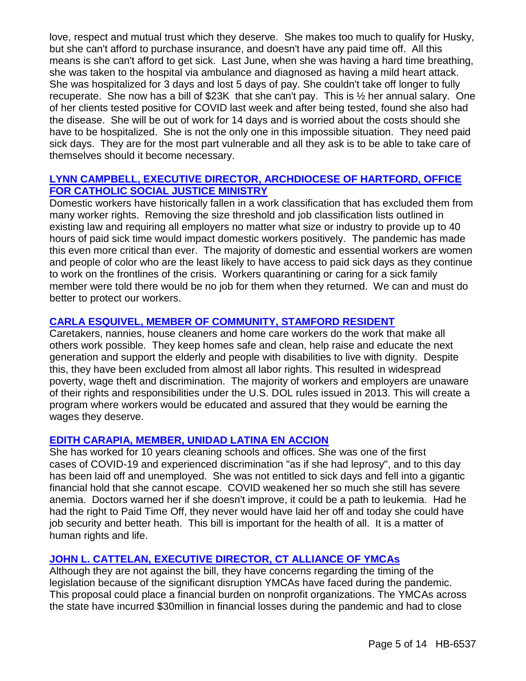love, respect and mutual trust which they deserve. She makes too much to qualify for Husky, but she can't afford to purchase insurance, and doesn't have any paid time off. All this means is she can't afford to get sick. Last June, when she was having a hard time breathing, she was taken to the hospital via ambulance and diagnosed as having a mild heart attack. She was hospitalized for 3 days and lost 5 days of pay. She couldn't take off longer to fully recuperate. She now has a bill of \$23K that she can't pay. This is ½ her annual salary. One of her clients tested positive for COVID last week and after being tested, found she also had the disease. She will be out of work for 14 days and is worried about the costs should she have to be hospitalized. She is not the only one in this impossible situation. They need paid sick days. They are for the most part vulnerable and all they ask is to be able to take care of themselves should it become necessary.

## **LYNN CAMPBELL, [EXECUTIVE DIRECTOR, ARCHDIOCESE OF HARTFORD, OFFICE](https://cga.ct.gov/2021/labdata/tmy/2021HB-06537-R000304-Campbell,%20Lynn,%20Executive%20Director-OCSJM-TMY.PDF)  [FOR CATHOLIC SOCIAL JUSTICE MINISTRY](https://cga.ct.gov/2021/labdata/tmy/2021HB-06537-R000304-Campbell,%20Lynn,%20Executive%20Director-OCSJM-TMY.PDF)**

Domestic workers have historically fallen in a work classification that has excluded them from many worker rights. Removing the size threshold and job classification lists outlined in existing law and requiring all employers no matter what size or industry to provide up to 40 hours of paid sick time would impact domestic workers positively. The pandemic has made this even more critical than ever. The majority of domestic and essential workers are women and people of color who are the least likely to have access to paid sick days as they continue to work on the frontlines of the crisis. Workers quarantining or caring for a sick family member were told there would be no job for them when they returned. We can and must do better to protect our workers.

## **[CARLA ESQUIVEL, MEMBER OF COMMUNITY, STAMFORD RESIDENT](https://cga.ct.gov/2021/labdata/tmy/2021HB-06537-R000304-Esquivel,%20Carla,%20Domestic%20Worker-TMY.PDF)**

Caretakers, nannies, house cleaners and home care workers do the work that make all others work possible. They keep homes safe and clean, help raise and educate the next generation and support the elderly and people with disabilities to live with dignity. Despite this, they have been excluded from almost all labor rights. This resulted in widespread poverty, wage theft and discrimination. The majority of workers and employers are unaware of their rights and responsibilities under the U.S. DOL rules issued in 2013. This will create a program where workers would be educated and assured that they would be earning the wages they deserve.

## **[EDITH CARAPIA, MEMBER, UNIDAD LATINA EN ACCION](https://cga.ct.gov/2021/labdata/tmy/2021HB-06537-R000304-Carapia,%20Edith-Unidad%20Latina%20en%20Acci-n-TMY.PDF)**

She has worked for 10 years cleaning schools and offices. She was one of the first cases of COVID-19 and experienced discrimination "as if she had leprosy", and to this day has been laid off and unemployed. She was not entitled to sick days and fell into a gigantic financial hold that she cannot escape. COVID weakened her so much she still has severe anemia. Doctors warned her if she doesn't improve, it could be a path to leukemia. Had he had the right to Paid Time Off, they never would have laid her off and today she could have job security and better heath. This bill is important for the health of all. It is a matter of human rights and life.

## **[JOHN L. CATTELAN, EXECUTIVE DIRECTOR, CT ALLIANCE OF YMCAs](https://cga.ct.gov/2021/labdata/tmy/2021HB-06537-R000304-Cattelan,%20John,%20Executive%20Director-Connecticut%20Alliance%20of%20YMCAs-TMY.PDF)**

Although they are not against the bill, they have concerns regarding the timing of the legislation because of the significant disruption YMCAs have faced during the pandemic. This proposal could place a financial burden on nonprofit organizations. The YMCAs across the state have incurred \$30million in financial losses during the pandemic and had to close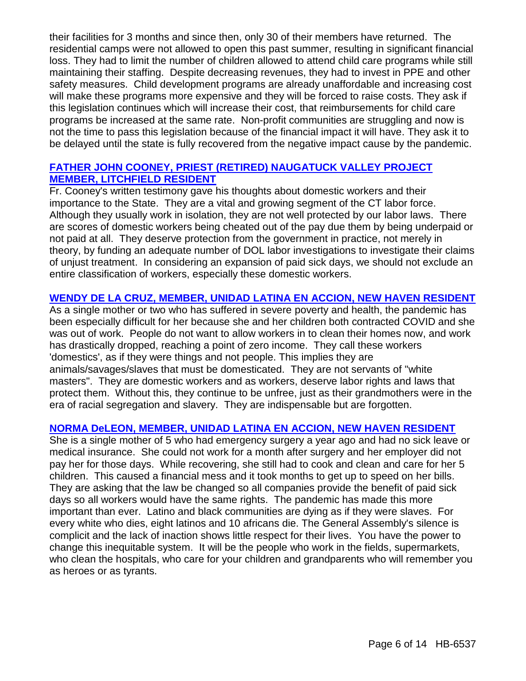their facilities for 3 months and since then, only 30 of their members have returned. The residential camps were not allowed to open this past summer, resulting in significant financial loss. They had to limit the number of children allowed to attend child care programs while still maintaining their staffing. Despite decreasing revenues, they had to invest in PPE and other safety measures. Child development programs are already unaffordable and increasing cost will make these programs more expensive and they will be forced to raise costs. They ask if this legislation continues which will increase their cost, that reimbursements for child care programs be increased at the same rate. Non-profit communities are struggling and now is not the time to pass this legislation because of the financial impact it will have. They ask it to be delayed until the state is fully recovered from the negative impact cause by the pandemic.

## **[FATHER JOHN COONEY, PRIEST \(RETIRED\) NAUGATUCK VALLEY PROJECT](https://cga.ct.gov/2021/labdata/tmy/2021HB-06537-R000304-Cooney,%20John,%20Father-TMY.PDF)  [MEMBER, LITCHFIELD RESIDENT](https://cga.ct.gov/2021/labdata/tmy/2021HB-06537-R000304-Cooney,%20John,%20Father-TMY.PDF)**

Fr. Cooney's written testimony gave his thoughts about domestic workers and their importance to the State. They are a vital and growing segment of the CT labor force. Although they usually work in isolation, they are not well protected by our labor laws. There are scores of domestic workers being cheated out of the pay due them by being underpaid or not paid at all. They deserve protection from the government in practice, not merely in theory, by funding an adequate number of DOL labor investigations to investigate their claims of unjust treatment. In considering an expansion of paid sick days, we should not exclude an entire classification of workers, especially these domestic workers.

## **[WENDY DE LA CRUZ, MEMBER, UNIDAD LATINA EN](https://cga.ct.gov/2021/labdata/tmy/2021HB-06537-R000304-de%20la%20Cruz,%20Wendy-Unidad%20Latina%20en%20Acci-n-TMY.PDF) ACCION, NEW HAVEN RESIDENT**

As a single mother or two who has suffered in severe poverty and health, the pandemic has been especially difficult for her because she and her children both contracted COVID and she was out of work. People do not want to allow workers in to clean their homes now, and work has drastically dropped, reaching a point of zero income. They call these workers 'domestics', as if they were things and not people. This implies they are animals/savages/slaves that must be domesticated. They are not servants of "white masters". They are domestic workers and as workers, deserve labor rights and laws that protect them. Without this, they continue to be unfree, just as their grandmothers were in the era of racial segregation and slavery. They are indispensable but are forgotten.

#### **[NORMA DeLEON, MEMBER, UNIDAD LATINA](https://cga.ct.gov/2021/labdata/tmy/2021HB-06537-R000304-de%20Leon,%20Norma-Unidad%20Latina%20en%20Acci-n-TMY.PDF) EN ACCION, NEW HAVEN RESIDENT**

She is a single mother of 5 who had emergency surgery a year ago and had no sick leave or medical insurance. She could not work for a month after surgery and her employer did not pay her for those days. While recovering, she still had to cook and clean and care for her 5 children. This caused a financial mess and it took months to get up to speed on her bills. They are asking that the law be changed so all companies provide the benefit of paid sick days so all workers would have the same rights. The pandemic has made this more important than ever. Latino and black communities are dying as if they were slaves. For every white who dies, eight latinos and 10 africans die. The General Assembly's silence is complicit and the lack of inaction shows little respect for their lives. You have the power to change this inequitable system. It will be the people who work in the fields, supermarkets, who clean the hospitals, who care for your children and grandparents who will remember you as heroes or as tyrants.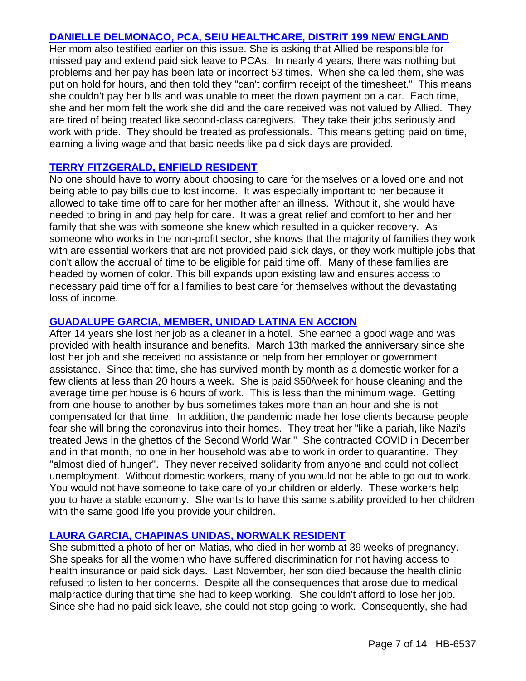## **[DANIELLE DELMONACO, PCA, SEIU HEALTHCARE, DISTRIT 199 NEW ENGLAND](https://cga.ct.gov/2021/labdata/tmy/2021HB-06537-R000304-Delmonaco,%20Danielle,%20PCA-SEIU%201199%20NE-TMY.PDF)**

Her mom also testified earlier on this issue. She is asking that Allied be responsible for missed pay and extend paid sick leave to PCAs. In nearly 4 years, there was nothing but problems and her pay has been late or incorrect 53 times. When she called them, she was put on hold for hours, and then told they "can't confirm receipt of the timesheet." This means she couldn't pay her bills and was unable to meet the down payment on a car. Each time, she and her mom felt the work she did and the care received was not valued by Allied. They are tired of being treated like second-class caregivers. They take their jobs seriously and work with pride. They should be treated as professionals. This means getting paid on time, earning a living wage and that basic needs like paid sick days are provided.

#### **[TERRY FITZGERALD, ENFIELD RESIDENT](https://cga.ct.gov/2021/labdata/tmy/2021HB-06537-R000304-Fitzgerald,%20Terry-TMY.PDF)**

No one should have to worry about choosing to care for themselves or a loved one and not being able to pay bills due to lost income. It was especially important to her because it allowed to take time off to care for her mother after an illness. Without it, she would have needed to bring in and pay help for care. It was a great relief and comfort to her and her family that she was with someone she knew which resulted in a quicker recovery. As someone who works in the non-profit sector, she knows that the majority of families they work with are essential workers that are not provided paid sick days, or they work multiple jobs that don't allow the accrual of time to be eligible for paid time off. Many of these families are headed by women of color. This bill expands upon existing law and ensures access to necessary paid time off for all families to best care for themselves without the devastating loss of income.

#### **[GUADALUPE GARCIA, MEMBER, UNIDAD LATINA EN ACCION](https://cga.ct.gov/2021/labdata/tmy/2021HB-06537-R000304-Garcia,%20Guadalupe-Unidad%20Latina%20en%20Acci-n-TMY.PDF)**

After 14 years she lost her job as a cleaner in a hotel. She earned a good wage and was provided with health insurance and benefits. March 13th marked the anniversary since she lost her job and she received no assistance or help from her employer or government assistance. Since that time, she has survived month by month as a domestic worker for a few clients at less than 20 hours a week. She is paid \$50/week for house cleaning and the average time per house is 6 hours of work. This is less than the minimum wage. Getting from one house to another by bus sometimes takes more than an hour and she is not compensated for that time. In addition, the pandemic made her lose clients because people fear she will bring the coronavirus into their homes. They treat her "like a pariah, like Nazi's treated Jews in the ghettos of the Second World War." She contracted COVID in December and in that month, no one in her household was able to work in order to quarantine. They "almost died of hunger". They never received solidarity from anyone and could not collect unemployment. Without domestic workers, many of you would not be able to go out to work. You would not have someone to take care of your children or elderly. These workers help you to have a stable economy. She wants to have this same stability provided to her children with the same good life you provide your children.

#### **[LAURA GARCIA, CHAPINAS UNIDAS, NORWALK RESIDENT](https://cga.ct.gov/2021/labdata/tmy/2021HB-06537-R000304-Garcia,%20Laura,%20Leader-Chapinas%20Unidas-TMY.PDF)**

She submitted a photo of her on Matias, who died in her womb at 39 weeks of pregnancy. She speaks for all the women who have suffered discrimination for not having access to health insurance or paid sick days. Last November, her son died because the health clinic refused to listen to her concerns. Despite all the consequences that arose due to medical malpractice during that time she had to keep working. She couldn't afford to lose her job. Since she had no paid sick leave, she could not stop going to work. Consequently, she had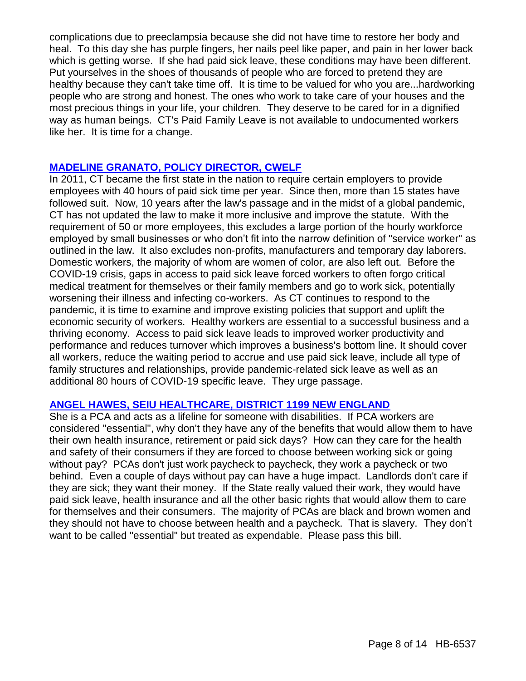complications due to preeclampsia because she did not have time to restore her body and heal. To this day she has purple fingers, her nails peel like paper, and pain in her lower back which is getting worse. If she had paid sick leave, these conditions may have been different. Put yourselves in the shoes of thousands of people who are forced to pretend they are healthy because they can't take time off. It is time to be valued for who you are...hardworking people who are strong and honest. The ones who work to take care of your houses and the most precious things in your life, your children. They deserve to be cared for in a dignified way as human beings. CT's Paid Family Leave is not available to undocumented workers like her. It is time for a change.

#### **[MADELINE GRANATO, POLICY DIRECTOR, CWELF](https://cga.ct.gov/2021/labdata/tmy/2021HB-06537-R000304-Granato,%20Madeline,%20Policy%20Director-CWEALF-TMY.PDF)**

In 2011, CT became the first state in the nation to require certain employers to provide employees with 40 hours of paid sick time per year. Since then, more than 15 states have followed suit. Now, 10 years after the law's passage and in the midst of a global pandemic, CT has not updated the law to make it more inclusive and improve the statute. With the requirement of 50 or more employees, this excludes a large portion of the hourly workforce employed by small businesses or who don't fit into the narrow definition of "service worker" as outlined in the law. It also excludes non-profits, manufacturers and temporary day laborers. Domestic workers, the majority of whom are women of color, are also left out. Before the COVID-19 crisis, gaps in access to paid sick leave forced workers to often forgo critical medical treatment for themselves or their family members and go to work sick, potentially worsening their illness and infecting co-workers. As CT continues to respond to the pandemic, it is time to examine and improve existing policies that support and uplift the economic security of workers. Healthy workers are essential to a successful business and a thriving economy. Access to paid sick leave leads to improved worker productivity and performance and reduces turnover which improves a business's bottom line. It should cover all workers, reduce the waiting period to accrue and use paid sick leave, include all type of family structures and relationships, provide pandemic-related sick leave as well as an additional 80 hours of COVID-19 specific leave. They urge passage.

#### **[ANGEL HAWES, SEIU HEALTHCARE, DISTRICT 1199 NEW ENGLAND](https://cga.ct.gov/2021/labdata/tmy/2021HB-06537-R000304-Hawes,%20Angel,%20PCA-SEIU%201199%20NE-TMY.PDF)**

She is a PCA and acts as a lifeline for someone with disabilities. If PCA workers are considered "essential", why don't they have any of the benefits that would allow them to have their own health insurance, retirement or paid sick days? How can they care for the health and safety of their consumers if they are forced to choose between working sick or going without pay? PCAs don't just work paycheck to paycheck, they work a paycheck or two behind. Even a couple of days without pay can have a huge impact. Landlords don't care if they are sick; they want their money. If the State really valued their work, they would have paid sick leave, health insurance and all the other basic rights that would allow them to care for themselves and their consumers. The majority of PCAs are black and brown women and they should not have to choose between health and a paycheck. That is slavery. They don't want to be called "essential" but treated as expendable. Please pass this bill.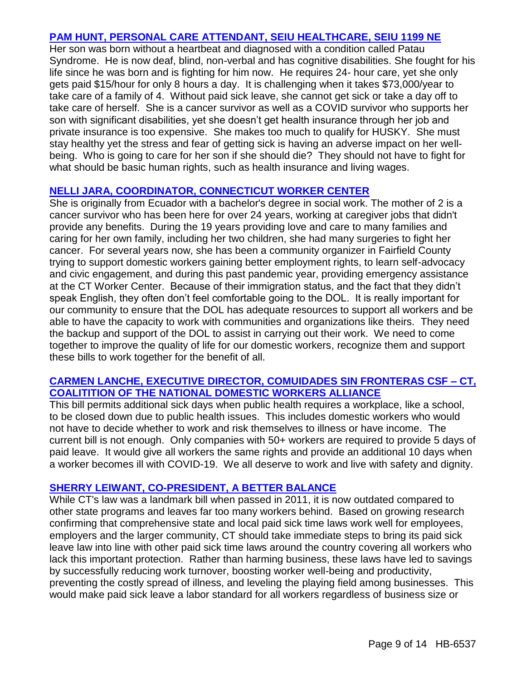## **[PAM HUNT, PERSONAL CARE ATTENDANT, SEIU HEALTHCARE, SEIU 1199 NE](https://cga.ct.gov/2021/labdata/tmy/2021HB-06537-R000304-Hunt,%20Pamela,%20Personal%20Care%20Attendent-SEIU%201199NE-TMY.PDF)**

Her son was born without a heartbeat and diagnosed with a condition called Patau Syndrome. He is now deaf, blind, non-verbal and has cognitive disabilities. She fought for his life since he was born and is fighting for him now. He requires 24- hour care, yet she only gets paid \$15/hour for only 8 hours a day. It is challenging when it takes \$73,000/year to take care of a family of 4. Without paid sick leave, she cannot get sick or take a day off to take care of herself. She is a cancer survivor as well as a COVID survivor who supports her son with significant disabilities, yet she doesn't get health insurance through her job and private insurance is too expensive. She makes too much to qualify for HUSKY. She must stay healthy yet the stress and fear of getting sick is having an adverse impact on her wellbeing. Who is going to care for her son if she should die? They should not have to fight for what should be basic human rights, such as health insurance and living wages.

#### **[NELLI JARA, COORDINATOR, CONNECTICUT WORKER CENTER](https://cga.ct.gov/2021/labdata/tmy/2021HB-06537-R000304-Jara,%20Nelli,%20Coordinator-Connecticut%20Worker%20Center-TMY.PDF)**

She is originally from Ecuador with a bachelor's degree in social work. The mother of 2 is a cancer survivor who has been here for over 24 years, working at caregiver jobs that didn't provide any benefits. During the 19 years providing love and care to many families and caring for her own family, including her two children, she had many surgeries to fight her cancer. For several years now, she has been a community organizer in Fairfield County trying to support domestic workers gaining better employment rights, to learn self-advocacy and civic engagement, and during this past pandemic year, providing emergency assistance at the CT Worker Center. Because of their immigration status, and the fact that they didn't speak English, they often don't feel comfortable going to the DOL. It is really important for our community to ensure that the DOL has adequate resources to support all workers and be able to have the capacity to work with communities and organizations like theirs. They need the backup and support of the DOL to assist in carrying out their work. We need to come together to improve the quality of life for our domestic workers, recognize them and support these bills to work together for the benefit of all.

#### **[CARMEN LANCHE, EXECUTIVE DIRECTOR, COMUIDADES SIN FRONTERAS CSF –](https://cga.ct.gov/2021/labdata/tmy/2021HB-06537-R000304-Lanche,%20Carmen,%20Executive%20Director-Comunidades%20Sin%20Fronteras-TMY.PDF) CT, [COALITITION OF THE NATIONAL DOMESTIC WORKERS ALLIANCE](https://cga.ct.gov/2021/labdata/tmy/2021HB-06537-R000304-Lanche,%20Carmen,%20Executive%20Director-Comunidades%20Sin%20Fronteras-TMY.PDF)**

This bill permits additional sick days when public health requires a workplace, like a school, to be closed down due to public health issues. This includes domestic workers who would not have to decide whether to work and risk themselves to illness or have income. The current bill is not enough. Only companies with 50+ workers are required to provide 5 days of paid leave. It would give all workers the same rights and provide an additional 10 days when a worker becomes ill with COVID-19. We all deserve to work and live with safety and dignity.

#### **[SHERRY LEIWANT, CO-PRESIDENT, A BETTER BALANCE](https://cga.ct.gov/2021/labdata/tmy/2021HB-06537-R000304-Leiwant,%20Sherry,%20Co-President-A%20Better%20Balance-TMY.PDF)**

While CT's law was a landmark bill when passed in 2011, it is now outdated compared to other state programs and leaves far too many workers behind. Based on growing research confirming that comprehensive state and local paid sick time laws work well for employees, employers and the larger community, CT should take immediate steps to bring its paid sick leave law into line with other paid sick time laws around the country covering all workers who lack this important protection. Rather than harming business, these laws have led to savings by successfully reducing work turnover, boosting worker well-being and productivity, preventing the costly spread of illness, and leveling the playing field among businesses. This would make paid sick leave a labor standard for all workers regardless of business size or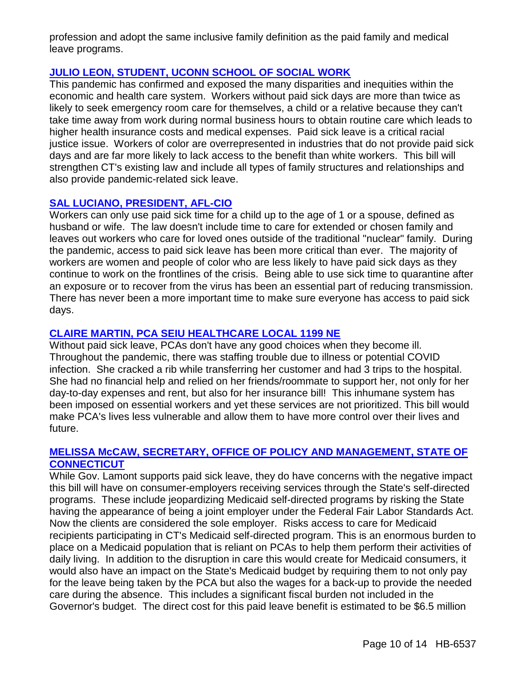profession and adopt the same inclusive family definition as the paid family and medical leave programs.

## **[JULIO LEON, STUDENT, UCONN SCHOOL OF SOCIAL WORK](https://cga.ct.gov/2021/labdata/tmy/2021HB-06537-R000304-Leon,%20Julio,%20Student-UConn%20School%20of%20Social%20Work-TMY.PDF)**

This pandemic has confirmed and exposed the many disparities and inequities within the economic and health care system. Workers without paid sick days are more than twice as likely to seek emergency room care for themselves, a child or a relative because they can't take time away from work during normal business hours to obtain routine care which leads to higher health insurance costs and medical expenses. Paid sick leave is a critical racial justice issue. Workers of color are overrepresented in industries that do not provide paid sick days and are far more likely to lack access to the benefit than white workers. This bill will strengthen CT's existing law and include all types of family structures and relationships and also provide pandemic-related sick leave.

## **[SAL LUCIANO, PRESIDENT, AFL-CIO](https://cga.ct.gov/2021/labdata/tmy/2021HB-06537-R000304-Luciano,%20Sal,%20President-Connecticut%20AFL-CIO-TMY.PDF)**

Workers can only use paid sick time for a child up to the age of 1 or a spouse, defined as husband or wife. The law doesn't include time to care for extended or chosen family and leaves out workers who care for loved ones outside of the traditional "nuclear" family. During the pandemic, access to paid sick leave has been more critical than ever. The majority of workers are women and people of color who are less likely to have paid sick days as they continue to work on the frontlines of the crisis. Being able to use sick time to quarantine after an exposure or to recover from the virus has been an essential part of reducing transmission. There has never been a more important time to make sure everyone has access to paid sick days.

## **[CLAIRE MARTIN, PCA SEIU HEALTHCARE](https://cga.ct.gov/2021/labdata/tmy/2021HB-06537-R000304-Martin,%20Claire,%20PCA-SEIU%201199NE-TMY.PDF) LOCAL 1199 NE**

Without paid sick leave, PCAs don't have any good choices when they become ill. Throughout the pandemic, there was staffing trouble due to illness or potential COVID infection. She cracked a rib while transferring her customer and had 3 trips to the hospital. She had no financial help and relied on her friends/roommate to support her, not only for her day-to-day expenses and rent, but also for her insurance bill! This inhumane system has been imposed on essential workers and yet these services are not prioritized. This bill would make PCA's lives less vulnerable and allow them to have more control over their lives and future.

## **[MELISSA McCAW, SECRETARY, OFFICE OF POLICY AND MANAGEMENT, STATE OF](https://cga.ct.gov/2021/labdata/tmy/2021HB-06537-R000304-McCaw,%20Melissa,%20Secretary-Office%20of%20Policy%20and%20Management-TMY.PDF)  [CONNECTICUT](https://cga.ct.gov/2021/labdata/tmy/2021HB-06537-R000304-McCaw,%20Melissa,%20Secretary-Office%20of%20Policy%20and%20Management-TMY.PDF)**

While Gov. Lamont supports paid sick leave, they do have concerns with the negative impact this bill will have on consumer-employers receiving services through the State's self-directed programs. These include jeopardizing Medicaid self-directed programs by risking the State having the appearance of being a joint employer under the Federal Fair Labor Standards Act. Now the clients are considered the sole employer. Risks access to care for Medicaid recipients participating in CT's Medicaid self-directed program. This is an enormous burden to place on a Medicaid population that is reliant on PCAs to help them perform their activities of daily living. In addition to the disruption in care this would create for Medicaid consumers, it would also have an impact on the State's Medicaid budget by requiring them to not only pay for the leave being taken by the PCA but also the wages for a back-up to provide the needed care during the absence. This includes a significant fiscal burden not included in the Governor's budget. The direct cost for this paid leave benefit is estimated to be \$6.5 million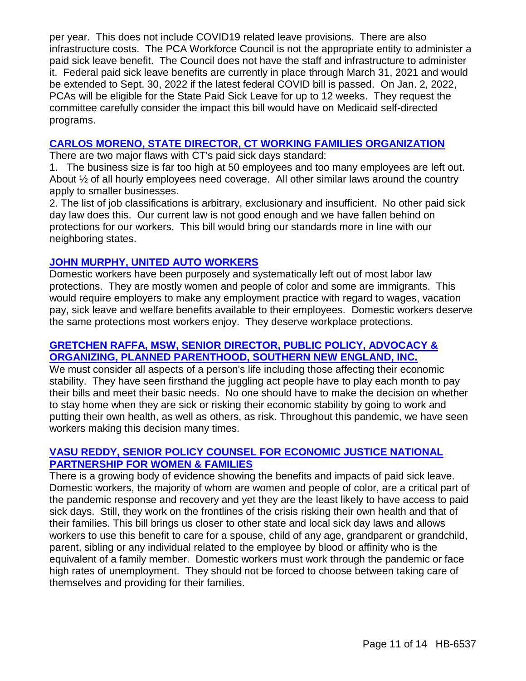per year. This does not include COVID19 related leave provisions. There are also infrastructure costs. The PCA Workforce Council is not the appropriate entity to administer a paid sick leave benefit. The Council does not have the staff and infrastructure to administer it. Federal paid sick leave benefits are currently in place through March 31, 2021 and would be extended to Sept. 30, 2022 if the latest federal COVID bill is passed. On Jan. 2, 2022, PCAs will be eligible for the State Paid Sick Leave for up to 12 weeks. They request the committee carefully consider the impact this bill would have on Medicaid self-directed programs.

#### **[CARLOS MORENO, STATE DIRECTOR, CT WORKING FAMILIES ORGANIZATION](https://www.cga.ct.gov/2021/LABdata/Tmy/2021HB-06537-R000304-Moreno,%20Carlos,%20State%20Director-Connecticut%20Working%20Families%20Org.-TMY.PDF)**

There are two major flaws with CT's paid sick days standard:

1. The business size is far too high at 50 employees and too many employees are left out. About ½ of all hourly employees need coverage. All other similar laws around the country apply to smaller businesses.

2. The list of job classifications is arbitrary, exclusionary and insufficient. No other paid sick day law does this. Our current law is not good enough and we have fallen behind on protections for our workers. This bill would bring our standards more in line with our neighboring states.

## **[JOHN MURPHY, UNITED AUTO WORKERS](https://cga.ct.gov/2021/labdata/tmy/2021HB-06537-R000304-Murphy,%20John-United%20Auto%20Workers%20Region%209A-TMY.PDF)**

Domestic workers have been purposely and systematically left out of most labor law protections. They are mostly women and people of color and some are immigrants. This would require employers to make any employment practice with regard to wages, vacation pay, sick leave and welfare benefits available to their employees. Domestic workers deserve the same protections most workers enjoy. They deserve workplace protections.

## **[GRETCHEN RAFFA, MSW, SENIOR DIRECTOR, PUBLIC POLICY, ADVOCACY &](https://cga.ct.gov/2021/labdata/tmy/2021HB-06537-R000304-Raffa,%20Gretchen,%20Senior%20Director-Planned%20Parenthood%20of%20Southern%20NE-TMY.PDF)  [ORGANIZING, PLANNED PARENTHOOD, SOUTHERN NEW ENGLAND, INC.](https://cga.ct.gov/2021/labdata/tmy/2021HB-06537-R000304-Raffa,%20Gretchen,%20Senior%20Director-Planned%20Parenthood%20of%20Southern%20NE-TMY.PDF)**

We must consider all aspects of a person's life including those affecting their economic stability. They have seen firsthand the juggling act people have to play each month to pay their bills and meet their basic needs. No one should have to make the decision on whether to stay home when they are sick or risking their economic stability by going to work and putting their own health, as well as others, as risk. Throughout this pandemic, we have seen workers making this decision many times.

## **[VASU REDDY, SENIOR POLICY COUNSEL FOR ECONOMIC JUSTICE NATIONAL](https://cga.ct.gov/2021/labdata/tmy/2021HB-06537-R000304-Reddy,%20Vasu,%20Senior%20Policy%20Counsel-Nat%20l%20Partnership%20for%20Women%20-%20Families-TMY.PDF)  [PARTNERSHIP FOR WOMEN & FAMILIES](https://cga.ct.gov/2021/labdata/tmy/2021HB-06537-R000304-Reddy,%20Vasu,%20Senior%20Policy%20Counsel-Nat%20l%20Partnership%20for%20Women%20-%20Families-TMY.PDF)**

There is a growing body of evidence showing the benefits and impacts of paid sick leave. Domestic workers, the majority of whom are women and people of color, are a critical part of the pandemic response and recovery and yet they are the least likely to have access to paid sick days. Still, they work on the frontlines of the crisis risking their own health and that of their families. This bill brings us closer to other state and local sick day laws and allows workers to use this benefit to care for a spouse, child of any age, grandparent or grandchild, parent, sibling or any individual related to the employee by blood or affinity who is the equivalent of a family member. Domestic workers must work through the pandemic or face high rates of unemployment. They should not be forced to choose between taking care of themselves and providing for their families.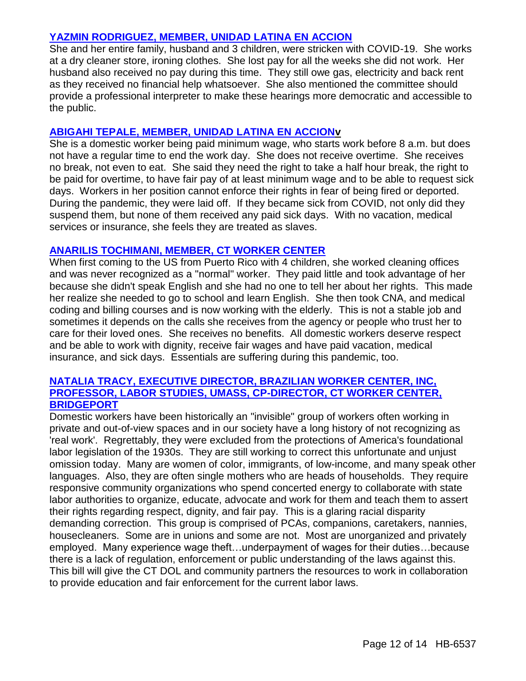## **[YAZMIN RODRIGUEZ, MEMBER, UNIDAD LATINA EN ACCION](https://cga.ct.gov/2021/labdata/tmy/2021HB-06537-R000304-Rodriguez,%20Yazmin-Unidad%20Latina%20en%20Acci-n-TMY.PDF)**

She and her entire family, husband and 3 children, were stricken with COVID-19. She works at a dry cleaner store, ironing clothes. She lost pay for all the weeks she did not work. Her husband also received no pay during this time. They still owe gas, electricity and back rent as they received no financial help whatsoever. She also mentioned the committee should provide a professional interpreter to make these hearings more democratic and accessible to the public.

## **[ABIGAHI TEPALE, MEMBER, UNIDAD LATINA EN ACCIONv](https://cga.ct.gov/2021/labdata/tmy/2021HB-06537-R000304-Tepale,%20Abigahi,%20Domestic%20Worker-Unidad%20Latina%20en%20Acci-n-TMY.PDF)**

She is a domestic worker being paid minimum wage, who starts work before 8 a.m. but does not have a regular time to end the work day. She does not receive overtime. She receives no break, not even to eat. She said they need the right to take a half hour break, the right to be paid for overtime, to have fair pay of at least minimum wage and to be able to request sick days. Workers in her position cannot enforce their rights in fear of being fired or deported. During the pandemic, they were laid off. If they became sick from COVID, not only did they suspend them, but none of them received any paid sick days. With no vacation, medical services or insurance, she feels they are treated as slaves.

## **[ANARILIS TOCHIMANI, MEMBER, CT WORKER CENTER](https://cga.ct.gov/2021/labdata/tmy/2021HB-06537-R000304-Tochimani,%20Anarilis-TMY.PDF)**

When first coming to the US from Puerto Rico with 4 children, she worked cleaning offices and was never recognized as a "normal" worker. They paid little and took advantage of her because she didn't speak English and she had no one to tell her about her rights. This made her realize she needed to go to school and learn English. She then took CNA, and medical coding and billing courses and is now working with the elderly. This is not a stable job and sometimes it depends on the calls she receives from the agency or people who trust her to care for their loved ones. She receives no benefits. All domestic workers deserve respect and be able to work with dignity, receive fair wages and have paid vacation, medical insurance, and sick days. Essentials are suffering during this pandemic, too.

#### **[NATALIA TRACY, EXECUTIVE DIRECTOR, BRAZILIAN WORKER CENTER, INC,](https://cga.ct.gov/2021/labdata/tmy/2021HB-06537-R000304-Tracy,%20Natalicia,%20Executive%20Director-Brazilian%20Worker%20Center-TMY.PDF)  [PROFESSOR, LABOR STUDIES, UMASS, CP-DIRECTOR, CT WORKER CENTER,](https://cga.ct.gov/2021/labdata/tmy/2021HB-06537-R000304-Tracy,%20Natalicia,%20Executive%20Director-Brazilian%20Worker%20Center-TMY.PDF)  [BRIDGEPORT](https://cga.ct.gov/2021/labdata/tmy/2021HB-06537-R000304-Tracy,%20Natalicia,%20Executive%20Director-Brazilian%20Worker%20Center-TMY.PDF)**

Domestic workers have been historically an "invisible" group of workers often working in private and out-of-view spaces and in our society have a long history of not recognizing as 'real work'. Regrettably, they were excluded from the protections of America's foundational labor legislation of the 1930s. They are still working to correct this unfortunate and unjust omission today. Many are women of color, immigrants, of low-income, and many speak other languages. Also, they are often single mothers who are heads of households. They require responsive community organizations who spend concerted energy to collaborate with state labor authorities to organize, educate, advocate and work for them and teach them to assert their rights regarding respect, dignity, and fair pay. This is a glaring racial disparity demanding correction. This group is comprised of PCAs, companions, caretakers, nannies, housecleaners. Some are in unions and some are not. Most are unorganized and privately employed. Many experience wage theft…underpayment of wages for their duties…because there is a lack of regulation, enforcement or public understanding of the laws against this. This bill will give the CT DOL and community partners the resources to work in collaboration to provide education and fair enforcement for the current labor laws.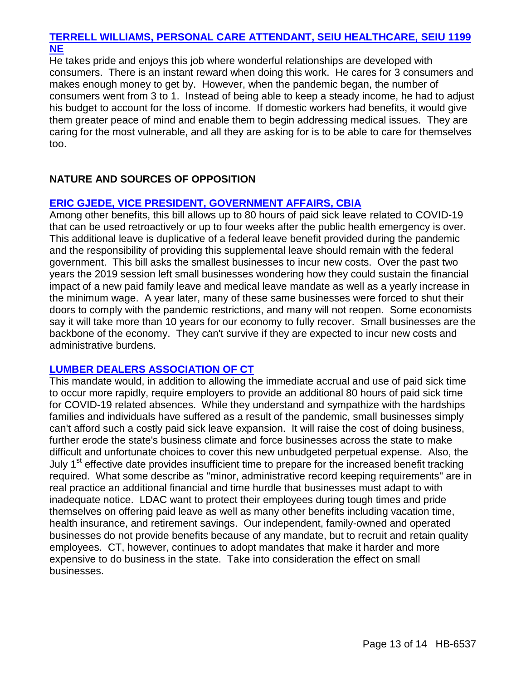## **[TERRELL WILLIAMS, PERSONAL CARE ATTENDANT, SEIU HEALTHCARE,](https://cga.ct.gov/2021/labdata/tmy/2021HB-06537-R000304-Williams,%20Terrell,%20Personal%20Care%20Attendant-SEIU%201199NE-TMY.PDF) SEIU 1199 [NE](https://cga.ct.gov/2021/labdata/tmy/2021HB-06537-R000304-Williams,%20Terrell,%20Personal%20Care%20Attendant-SEIU%201199NE-TMY.PDF)**

He takes pride and enjoys this job where wonderful relationships are developed with consumers. There is an instant reward when doing this work. He cares for 3 consumers and makes enough money to get by. However, when the pandemic began, the number of consumers went from 3 to 1. Instead of being able to keep a steady income, he had to adjust his budget to account for the loss of income. If domestic workers had benefits, it would give them greater peace of mind and enable them to begin addressing medical issues. They are caring for the most vulnerable, and all they are asking for is to be able to care for themselves too.

## **NATURE AND SOURCES OF OPPOSITION**

## **[ERIC GJEDE, VICE PRESIDENT, GOVERNMENT AFFAIRS, CBIA](https://cga.ct.gov/2021/labdata/tmy/2021HB-06537-R000304-Gjede,%20Eric,%20Vice%20President%20of%20Govt%20Affairs-CBIA-TMY.PDF)**

Among other benefits, this bill allows up to 80 hours of paid sick leave related to COVID-19 that can be used retroactively or up to four weeks after the public health emergency is over. This additional leave is duplicative of a federal leave benefit provided during the pandemic and the responsibility of providing this supplemental leave should remain with the federal government. This bill asks the smallest businesses to incur new costs. Over the past two years the 2019 session left small businesses wondering how they could sustain the financial impact of a new paid family leave and medical leave mandate as well as a yearly increase in the minimum wage. A year later, many of these same businesses were forced to shut their doors to comply with the pandemic restrictions, and many will not reopen. Some economists say it will take more than 10 years for our economy to fully recover. Small businesses are the backbone of the economy. They can't survive if they are expected to incur new costs and administrative burdens.

#### **[LUMBER DEALERS ASSOCIATION OF CT](https://cga.ct.gov/2021/labdata/tmy/2021HB-06537-R000304-Lumber%20Dealers%20Association%20of%20CT-TMY.PDF)**

This mandate would, in addition to allowing the immediate accrual and use of paid sick time to occur more rapidly, require employers to provide an additional 80 hours of paid sick time for COVID-19 related absences. While they understand and sympathize with the hardships families and individuals have suffered as a result of the pandemic, small businesses simply can't afford such a costly paid sick leave expansion. It will raise the cost of doing business, further erode the state's business climate and force businesses across the state to make difficult and unfortunate choices to cover this new unbudgeted perpetual expense. Also, the July 1<sup>st</sup> effective date provides insufficient time to prepare for the increased benefit tracking required. What some describe as "minor, administrative record keeping requirements" are in real practice an additional financial and time hurdle that businesses must adapt to with inadequate notice. LDAC want to protect their employees during tough times and pride themselves on offering paid leave as well as many other benefits including vacation time, health insurance, and retirement savings. Our independent, family-owned and operated businesses do not provide benefits because of any mandate, but to recruit and retain quality employees. CT, however, continues to adopt mandates that make it harder and more expensive to do business in the state. Take into consideration the effect on small businesses.